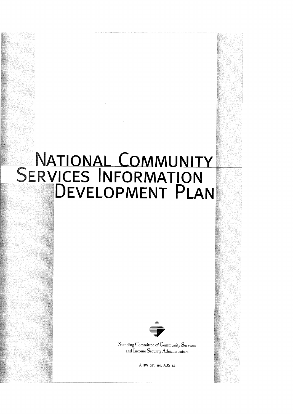# NATIONAL COMMUNITY<br>SERVICES INFORMATION<br>DEVELOPMENT PLAN



**Standing Committee of Community Services** and Income Security Administrators

AIHW cat. no. AUS 14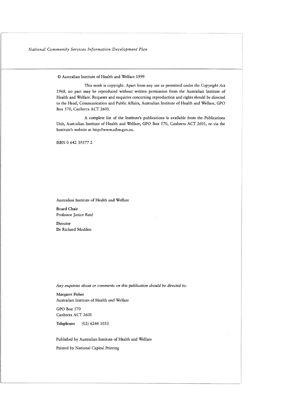O Australian Institute of Health and Welfare 1999

This work is copyright. Apart from any use as permitted under the *Copyright Act*  1968, no part may be reproduced without written permission from the Australian Institute of Health and Welfare. Requests and enquiries concerning reproduction and rights should be directed to the Head, Communication and Public Affairs, Australian Institute of Health and Welfare, GPO Box 570, Canberra ACT 2601.

A complete list of the Institute's publications is available from the Publications Unit, Australian Institute of Health and Welfare, GPO Box 570, Canberra ACT 2601, or via the Institute's website at http://www.aihw.gov.au.

ISBN 0 642 39577 2

Australian Institute of Health and Welfare

Board Chair Professor Janice Reid

**Director** Dr Richard Madden

*Any enquiries about or comments on this publication should be directed to:* 

Margaret Fisher Australian Institute of Health and Welfare

GPO Box 570 Canberra ACT 2601

Telephone: (02) 6244 1033

Published by Australian Institute of Health and Welfare Printed by National Capital Printing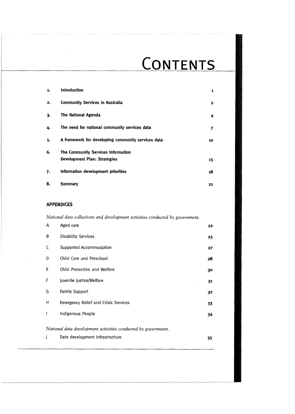# CONTENTS

| 1. | <b>Introduction</b>                                | 1  |
|----|----------------------------------------------------|----|
| 2. | <b>Community Services in Australia</b>             | 2  |
| 3. | <b>The National Agenda</b>                         | 4  |
| 4. | The need for national community services data      | 7  |
| 5. | A framework for developing community services data | 10 |
| 6. | The Community Services Information                 |    |
|    | Development Plan: Strategies                       | 15 |
| 7. | Information development priorities                 | 18 |
| 8. | Summary                                            | 21 |

#### **APPENDICES**

*National data collections and development activities conducted by government.* 

| A | Aged care                                                     | 22 |
|---|---------------------------------------------------------------|----|
| В | <b>Disability Services</b>                                    | 25 |
| C | Supported Accommodation                                       | 27 |
| D | Child Care and Preschool                                      | 28 |
| Е | Child Protection and Welfare                                  | 30 |
| F | Juvenile Justice/Welfare                                      | 31 |
| G | <b>Family Support</b>                                         | 32 |
| Н | <b>Emergency Relief and Crisis Services</b>                   | 33 |
| ı | Indigenous People                                             | 34 |
|   | National data development activities conducted by government. |    |
|   | Data development infrastructure                               | 35 |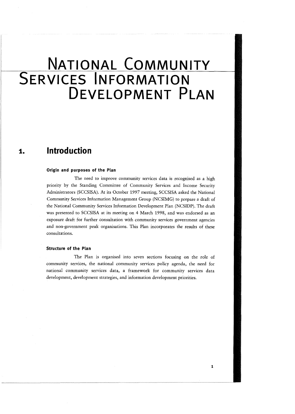# NATIONAL COMMUNITY **SERVICES INFORMATION** DEVELOPMENT PLAN

#### **lntrod uction**  1.

#### **Origin and purposes of the Plan**

The need to improve community services data is recognised as a high priority by the Standing Committee of Community Services and Income Security Administrators (SCCSISA). At its October 1997 meeting, SCCSISA asked the National Community Services Information Management Group (NCSIMG) to prepare a draft of the National Community Services Information Development Plan (NCSIDP). The draft was presented to SCCSISA at its meeting on 4 March 1998, and was endorsed as an exposure draft for further consultation with community services government agencies and non-government peak organisations. This Plan incorporates the results of these consultations.

#### **Structure of the Plan**

The Plan is organised into seven sections focusing on the role of community services, the national community services policy agenda, the need for national community services data, a framework for community services data development, development strategies, and information development priorities.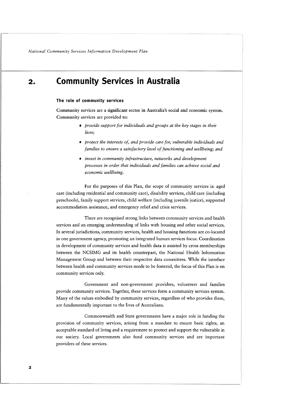#### **Community Services in Australia**   $2.$

#### **The role of community services**

Community services are a significant sector in Australia's social and economic system. Community services are provided to:

- provide support for individuals and groups at the key stages in their lives;
- protect the interests of, and provide care for, vulnerable individuals and families to ensure a satisfactory level of functioning and wellbeing; and
- $\bullet$  invest in community infrastructure, networks and development processes in order that individuals and families can achieve social and economic wellbeing.

For the purposes of this Plan, the scope of community services is: aged care (including residential and community care), disability services, child care (including preschools), family support services, child welfare (including juvenile justice), supported accommodation assistance, and emergency relief and crisis services.

There are recognised strong links between community services and health services and an emerging understanding of links with housing and other social services. In several jurisdictions, community services, health and housing functions are CO-located in one government agency, promoting an integrated human services focus. Coordination in development of community services and health data is assisted by cross memberships between the NCSIMG and its health counterpart, the National Health Information Management Group and between their respective data committees. While the interface between health and community services needs to be fostered, the focus of this Plan is on community services only.

Government and non-government providers, volunteers and families provide community services. Together, these services form a community services system. Many of the values embodied by community services, regardless of who provides them, are fundamentally important to the lives of Australians.

Commonwealth and State governments have a major role in funding the provision of community services, arising from a mandate to ensure basic rights, an acceptable standard of living and a requirement to protect and support the vulnerable in our society. Local governments also fund community services and are important providers of these services.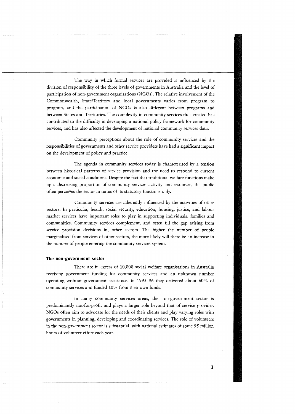The way in which formal services are provided is influenced by the division of responsibility of the three levels of governments in Australia and the level of participation of non-government organisations (NGOs). The relative involvement of the Commonwealth, State/Territory and local governments varies from program to program, and the participation of NGOs is also different between programs and between States and Territories. The complexity in community services thus created has contributed to the difficulty in developing a national policy framework for community services, and has also affected the development of national community services data.

Community perceptions about the role of community services and the responsibilities of governments and other service providers have had a significant impact on the development of policy and practice.

The agenda in community services today is characterised by a tension between historical patterns of service provision and the need to respond to current economic and social conditions. Despite the fact that traditional welfare functions make up a decreasing proportion of community services activity and resources, the public often perceives the sector in terms of its statutory functions only.

Community services are inherently influenced by the activities of other sectors. In particular, health, social security, education, housing, justice, and labour market services have important roles to play in supporting individuals, families and communities. Community services complement, and often fill the gap arising from service provision decisions in, other sectors. The higher the number of people marginalised from services of other sectors, the more likely will there be an increase in the number of people entering the community services system.

#### **The non-government sector**

There are in excess of 10,000 social welfare organisations in Australia receiving government funding for community services and an unknown number operating without government assistance. In 1995-96 they delivered about 60% of community services and funded 10% from their own funds.

In many community services areas, the non-government sector is predominantly not-for-profit and plays a larger role beyond that of service provider. NGOs often aim to advocate for the needs of their clients and play varying roles with governments in planning, developing and coordinating services. The role of volunteers in the non-government sector is substantial, with national estimates of some 95 million hours of volunteer effort each year.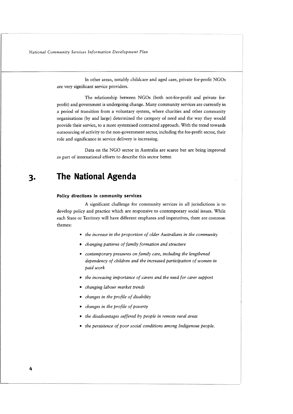In other areas, notably childcare and aged care, private for-profit NGOs are very significant service providers.

The relationship between NGOs (both not-for-profit and private forprofit) and government is undergoing change. Many community services are currently in a period of transition from a voluntary system, where charities and other community organisations (by and large) determined the category of need and the way they would provide their service, to a more systemised contracted approach. With the trend towards outsourcing of activity to the non-government sector, including the for-profit sector, their role and significance in service delivery is increasing.

Data on the NGO sector in Australia are scarce but are being improved as part of international efforts to describe this sector better.

#### **The National Agenda**  З.

#### **Policy directions in community services**

A significant challenge for community services in all jurisdictions is to develop policy and practice which are responsive to contemporary social issues. While each State or Territory will have different emphases and imperatives, there are common themes:

- <sup>0</sup>*the increase in the proportion of older Australians in the community*
- *changing patterns of family formation and structure*
- \* *contemporary pressures on family care, including the lengthened dependency of children and the increased participation of women in paid work*
- *the increasing importance of curers and the need for carer support*
- *changing labour market trends*
- *changes in the profile of disability*
- *changes in the profile of poverty*
- *the disadvantages suffered by people in remote rural areas*
- *the persistence of poor social conditions among Indigenous people.*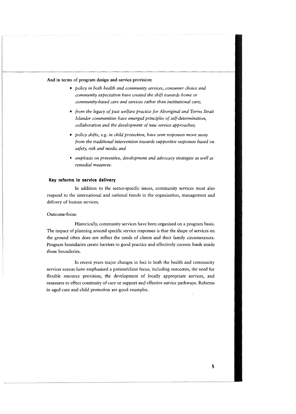#### **And** in terms **of** program design and service provision:

- policy in both health and community services, consumer choice and community expectation have created the shift towards home or community-based care and services rather than institutional care;
- from the legacy of past welfare practice for Aboriginal and Torres Strait Islander communities have emerged principles of self-determination, collaboration and the development of new service approaches;
- policy shifts, e.g. in child protection, have seen responses move away from the traditional intervention towards supportive responses based on safety, risk and needs; and
- \* emphasis on preventive, development and advocacy strategies as well as remedial measures.

#### **Key reforms in service delivery**

In addition to the sector-specific issues, community services must also respond to the international and national trends in the organisation, management and delivery of human services.

#### Outcome-focus

Historically, community services have been organised on a program basis. The impact of planning around specific service responses is that the shape of services on the ground often does not reflect the needs of clients and their family circumstances. Program boundaries create barriers to good practice and effectively cocoon funds inside those boundaries.

In recent years major changes in foci in both the health and community services arenas have emphasised a patient/client focus, including outcomes, the need for flexible resource provision, the development of locally appropriate services, and measures to effect continuity of care or support and effective service pathways. Reforms in aged care and child protection are good examples.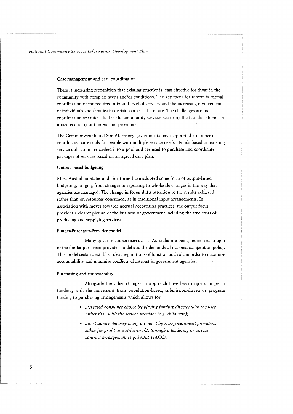#### Case management and care coordination

There is increasing recognition that existing practice is least effective for those in the community with complex needs and/or conditions. The key focus for reform is formal coordination of the required mix and level of services and the increasing involvement of individuals and families in decisions about their care. The challenges around coordination are intensified in the community services sector by the fact that there is a mixed economy of funders and providers.

The Commonwealth and State/Territory governments have supported a number of coordinated care trials for people with multiple service needs. Funds based on existing service utilisation are cashed into a pool and are used to purchase and coordinate packages of services based on an agreed care plan.

#### Output-based budgeting

Most Australian States and Territories have adopted some form of output-based budgeting, ranging from changes in reporting to wholesale changes in the way that agencies are managed. The change in focus shifts attention to the results achieved rather than on resources consumed, as in traditional input arrangements. In association with moves towards accrual accounting practices, the output focus provides a clearer picture of the business of government including the true costs of producing and supplying services.

#### Funder-Purchaser-Provider model

Many government services across Australia are being reoriented in light of the funder-purchaser-provider model and the demands of national competition policy. This model seeks to establish clear separations of function and role in order to maximise accountability and minimise conflicts of interest in government agencies.

#### Purchasing and contestability

Alongside the other changes in approach have been major changes in funding, with the movement from population-based, submission-driven or program funding to purchasing arrangements which allows for:

- *increased consumer choice by placing funding directly with the user, rather than with the service provider (e.g. child care);*
- *direct service delivery being provided by non-government providers, either for-profit or not-for-profit, through a tendering or service contract arrangement (e.g. SAAP, HACC).*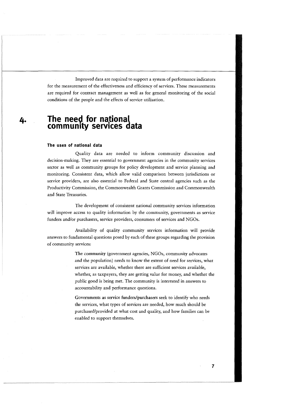Improved data are required to support a system of performance indicators for the measurement of the effectiveness and efficiency of services. These measurements are required for contract management as well as for general monitoring of the social conditions of the people and the effects of service utilisation.

# 4. The need for national community services data

#### **The uses of national data**

Quality data are needed to inform community discussion and decision-making. They are essential to government agencies in the community services sector as well as community groups for policy development and service planning and monitoring. Consistent data, which allow valid comparison between jurisdictions or service providers, are also essential to Federal and State central agencies such as the Productivity Commission, the Commonwealth Grants Commission and Commonwealth and State Treasuries.

The development of consistent national community services information will improve access to quality information by the community, governments as service funders and/or purchasers, service providers, consumers of services and NGOs.

Availability of quality community services information will provide answers to fundamental questions posed by each of these groups regarding the provision of community services:

> The community (government agencies, NGOs, community advocates and the population) needs to know the extent of need for services, what services are available, whether there are sufficient services available, whether, as taxpayers, they are getting value for money, and whether the public good is being met. The community is interested in answers to accountability and performance questions.

Governments as sewice funders/purchasers seek to identify who needs the services, what types of services are needed, how much should be purchased/provided at what cost and quality, and how families can be enabled to support themselves.

 $\overline{7}$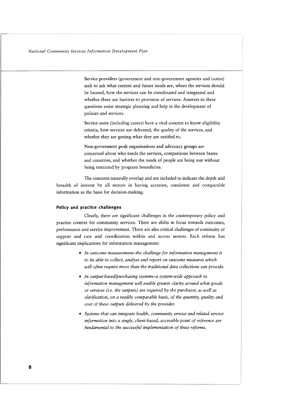Service providers (government and non-government agencies and carers) seek to ask what current and future needs are, where the services should be located, how the services can be coordinated and integrated and whether there are barriers to provision of services. Answers to these questions assist strategic planning and help in the development of policies and services.

Service users (including carers) have a vital concern to know eligibility criteria, how services are delivered, the quality of the services, and whether they are getting what they are entitled to.

Non-government peak organisations and advocacy groups are concerned about who needs the services, comparisons between States and countries, and whether the needs of people are being met without being restricted by program boundaries.

The concerns naturally overlap and are included to indicate the depth and breadth of interest by all sectors in having accurate, consistent and comparable information as the basis for decision-making.

#### **Policy and practice challenges**

Clearly, there are significant challenges in the contemporary policy and practice context for community services. There are shifts in focus towards outcomes, performance and service improvement. There are also critical challenges of continuity of support and care and coordination within and across sectors. Each reform has significant implications for information management:

- *In outcome measurement-the challenge for information management is to be able to collect, analyse and report on outcome measures which will often require more than the traditional data collections can provide.*
- *In output-basedlpurchasing systems-a system-wide approach to information management will enable greater clarity around what goods or services (i.e. the outputs) are required by the purchaser, as well as clarification, on a readily comparable basis, of the quantity, quality and cost of these outputs delivered by the provider.*
- *Systems that can integrate health, community service and related service information into a single, client-based, accessible point of reference are fundamental to the successful implementation of these reforms.*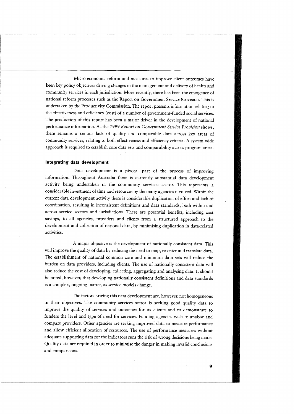Micro-economic reform and measures to improve client outcomes have been key policy objectives driving changes in the management and delivery of health and community services in each jurisdiction. More recently, there has been the emergence of national reform processes such as the Report on Government Service Provision. This is undertaken by the Productivity Commission. The report presents information relating to the effectiveness and efficiency (cost) of a number of government-funded social services. The production of this report has been a major driver in the development of national performance information. As the 1999 Report on Government Service Provision shows, there remains a serious lack of quality and comparable data across key areas of community services, relating to both effectiveness and efficiency criteria. A system-wide approach is required to establish core data sets and comparability across program areas.

#### **Integrating data development**

Data development is a pivotal part of the process of improving information. Throughout Australia there is currently substantial data development activity being undertaken in the community services sector. This represents a considerable investment of time and resources by the many agencies involved. Within the current data development activity there is considerable duplication of effort and lack of coordination, resulting in inconsistent definitions and data standards, both within and across service sectors and jurisdictions. There are potential benefits, including cost savings, to all agencies, providers and clients from a structured approach to the development and collection of national data, by minimising duplication in data-related activities.

A major objective is the development of nationally consistent data. This will improve the quality of data by reducing the need to map, re-enter and translate data. The establishment of national common core and minimum data sets will reduce the burden on data providers, including clients. The use of nationally consistent data will also reduce the cost of developing, collecting, aggregating and analysing data. It should be noted, however, that developing nationally consistent definitions and data standards is a complex, ongoing matter, as service models change.

The factors driving this data development are, however, not homogeneous in their objectives. The community services sector is seeking good quality data to improve the quality of services and outcomes for its clients and to demonstrate to funders the level and type of need for services. Funding agencies wish to analyse and compare providers. Other agencies are seeking improved data to measure performance and allow efficient allocation of resources. The use of performance measures without adequate supporting data for the indicators runs the risk of wrong decisions being made. Quality data are required in order to minimise the danger in making invalid conclusions and comparisons.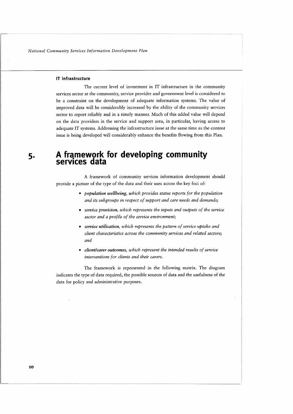#### **IT infrastructure**

The current level of investment in IT infrastructure in the community services sector at the community, service provider and government level is considered to be a constraint on the development of adequate information systems. The value of improved data will be considerably increased by the ability of the community services sector to report reliably and in a timely manner. Much of this added value will depend on the data providers in the service and support area, in particular, having access to adequate IT systems. Addressing the infrastructure issue at the same time as the content issue is being developed will considerably enhance the benefits flowing from this Plan.

# **5. A framework for developing community services data**

A framework of community services information development should provide a picture of the type of the data and their uses across the key foci of:

- *population wellbeing, which provides status reports for the population and its subgroups in respect of support and care needs and demands;*
- *service provision, which represents the inputs and outputs of the service sector and a profile of the service environment;*
- *service utilisation, which represents the pattern of service uptake and client characteristics across the community services and related sectors; and*
- *client/carer outcomes, which represent the intended results of service interventions for clients and their curers.*

The framework is represented in the following matrix. The diagram indicates the type of data required, the possible sources of data and the usefulness of the data for policy and administrative purposes.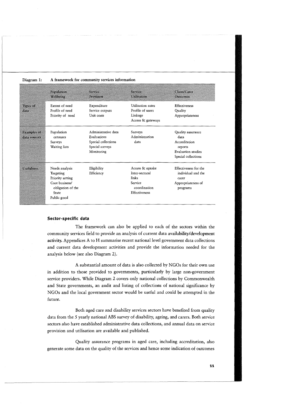|                                    | Population<br><b>Wellbeing</b>                                                                                        | Service<br>Provision                                                                       | Service<br><b>Utilisation</b>                                                          | Client/Carer<br><b>Outcomes</b>                                                                           |
|------------------------------------|-----------------------------------------------------------------------------------------------------------------------|--------------------------------------------------------------------------------------------|----------------------------------------------------------------------------------------|-----------------------------------------------------------------------------------------------------------|
| <b>Types of</b><br>data            | Extent of need<br>Profile of need<br>Priority of need                                                                 | Expenditure<br>Service outputs<br>Unit costs                                               | Utilisation rates<br>Profile of users<br>Linkage<br>Access & gateways                  | <b>Effectiveness</b><br>Quality<br>Appropriateness                                                        |
| <b>Examples</b> of<br>data sources | Population<br>censuses<br>Surveys<br>Waiting lists                                                                    | Administrative data<br>Evaluations<br>Special collections<br>Special surveys<br>Monitoring | Surveys<br>Administration<br>data                                                      | Quality assurance<br>data<br>Accreditation<br>reports<br><b>Evaluation</b> studies<br>Special collections |
| <b>Usefulness</b>                  | Needs analysis<br>Targeting<br>Priority setting<br>Core business/<br>obligation of the<br><b>State</b><br>Public good | Eligibility<br>Efficiency                                                                  | Access & uptake<br>Inter-sectoral<br>links<br>Service<br>coordination<br>Effectiveness | Effectiveness for the<br>individual and the<br>carer<br>Appropriateness of<br>programs                    |

#### Diagram 1: **A** framework for community services information

#### **Sector-specific data**

The framework can also be applied to each of the sectors within the community services field to provide an analysis of current data **availability/development**  activity. Appendices A to H summarise recent national level government data collections and current data development activities and provide the information needed for the analysis below (see also Diagram 2).

**A** substantial amount of data is also collected by NGOs for their own use in addition to those provided to governments, particularly by large non-government service providers. While Diagram 2 covers only national collections by Commonwealth and State governments, an audit and listing of collections of national significance by NGOs and the local government sector would be useful and could be attempted in the future.

Both aged care and disability services sectors have benefited from quality data from the 5 yearly national ABS survey of disability, ageing, and carers. Both service sectors also have established administrative data collections, and annual data on service provision and utilisation are available and published.

Quality assurance programs in aged care, including accreditation, also generate some data on the quality of the services and hence some indication of outcomes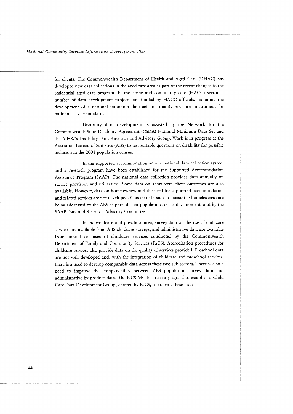for clients. The Commonwealth Department of Health and Aged Care (DHAC) has developed new data collections in the aged care area as part of the recent changes to the residential aged care program. In the home and community care (HACC) sector, a number of data development projects are funded by HACC officials, including the development of a national minimum data set and quality measures instrument for national service standards.

Disability data development is assisted by the Network for the Commonwealth-State Disability Agreement (CSDA) National Minimum Data Set and the AIHW's Disability Data Research and Advisory Group. Work is in progress at the Australian Bureau of Statistics (ABS) to test suitable questions on disability for possible inclusion in the 2001 population census.

In the supported accommodation area, a national data collection system and a research program have been established for the Supported Accommodation Assistance Program (SAAP). The national data collection provides data annually on service provision and utilisation. Some data on short-term client outcomes are also available. However, data on homelessness and the need for supported accommodation and related services are not developed. Conceptual issues in measuring homelessness are being addressed by the ABS as part of their population census development, and by the SAAP Data and Research Advisory Committee.

In the childcare and preschool area, survey data on the use of childcare services are available from ABS childcare surveys, and administrative data are available from annual censuses of childcare services conducted by the Commonwealth Department of Family and Community Services (FaCS). Accreditation procedures for childcare services also provide data on the quality of services provided. Preschool data are not well developed and, with the integration of childcare and preschool services, there is a need to develop comparable data across these two sub-sectors. There is also a need to improve the comparability between ABS population survey data and administrative by-product data. The NCSIMG has recently agreed to establish a Child Care Data Development Group, chaired by FaCS, to address these issues.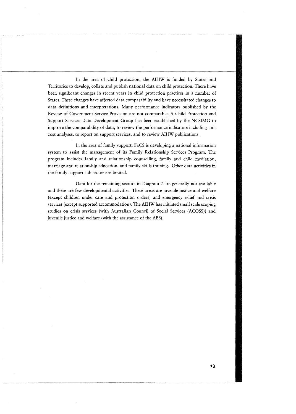In the area of child protection, the AIHW is funded by States and Territories to develop, collate and publish national data on child protection. There have been significant changes in recent years in child protection practices in a number of States. These changes have affected data comparability and have necessitated changes to data definitions and interpretations. Many performance indicators published by the Review of Government Service Provision are not comparable. A Child Protection and Support Services Data Development Group has been established by the NCSIMG to improve the comparability of data, to review the performance indicators including unit cost analyses, to report on support services, and to review AIHW publications.

In the area of family support, FaCS is developing a national information system to assist the management of its Family Relationship Services Program. The program includes family and relationship counselling, family and child mediation, marriage and relationship education, and family skills training. Other data activities in the family support sub-sector are limited.

Data for the remaining sectors in Diagram 2 are generally not available and there are few developmental activities. These areas are juvenile justice and welfare (except children under care and protection orders) and emergency relief and crisis services (except supported accommodation). The AIHW has initiated small scale scoping studies on crisis services (with Australian Council of Social Services (ACOSS)) and juvenile justice and welfare (with the assistance of the ABS).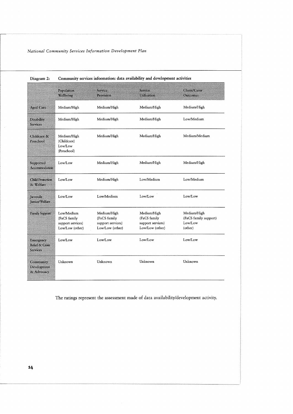|                                                            | Population<br>Wellbeing                                            | Service<br>Provision                                                | Service<br>Utilisation                                              | Client/Carer<br><b>Outcomes</b>                            |
|------------------------------------------------------------|--------------------------------------------------------------------|---------------------------------------------------------------------|---------------------------------------------------------------------|------------------------------------------------------------|
| <b>Aged Care</b>                                           | Medium/High                                                        | Medium/High                                                         | Medium/High                                                         | Medium/High                                                |
| <b>Disability</b><br><b>Services</b>                       | Medium/High                                                        | Medium/High                                                         | Medium/High                                                         | Low/Medium                                                 |
| Childcare &<br>Preschool                                   | Medium/High<br>(Childcare)<br>Low/Low<br>(Preschool)               | Medium/High                                                         | Medium/High                                                         | Medium/Medium                                              |
| Supported<br><b>Accommodation</b>                          | Low/Low                                                            | Medium/High                                                         | Medium/High                                                         | Medium/High                                                |
| <b>Child Protection</b><br>& Welfare                       | Low/Low                                                            | Medium/High                                                         | Low/Medium                                                          | Low/Medium                                                 |
| Juvenile<br><b>Justice/Welfare</b>                         | Low/Low                                                            | Low/Medium                                                          | Low/Low                                                             | Low/Low                                                    |
| <b>Family Support</b>                                      | Low/Medium<br>(FaCS family<br>support services)<br>Low/Low (other) | Medium/High<br>(FaCS family<br>support services)<br>Low/Low (other) | Medium/High<br>(FaCS family<br>support services)<br>Low/Low (other) | Medium/High<br>(FaCS family support)<br>Low/Low<br>(other) |
| Emergency<br><b>Relief &amp; Crisis</b><br><b>Services</b> | Low/Low                                                            | Low/Low                                                             | Low/Low                                                             | Low/Low                                                    |
| Community<br>Development<br>& Advocacy                     | Unknown                                                            | Unknown                                                             | Unknown                                                             | Unknown                                                    |

#### **Diagram 2: Community services information: data availability and development activities**

The ratings represent the assessment made of data availability/development activity.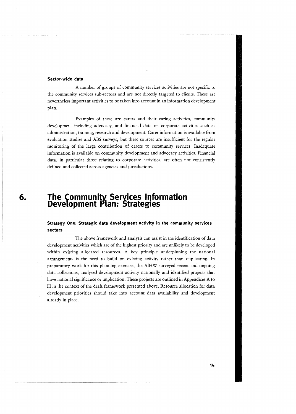#### **Sector-wide data**

A number of groups of community services activities are not specific to the community services sub-sectors and are not directly targeted to clients. These are nevertheless important activities to be taken into account in an information development plan.

Examples of these are carers and their caring activities, community development including advocacy, and financial data on corporate activities such as administration, training, research and development. Carer information is available from evaluation studies and ABS surveys, but these sources are insufficient for the regular monitoring of the large contribution of carers to community services. Inadequate information is available on community development and advocacy activities. Financial data, in particular those relating to corporate activities, are often not consistently defined and collected across agencies and jurisdictions.

# **6. The Community Services Information<br>Development Plan: Strategies**

#### **Strategy One: Strategic data development activity in the community services sectors**

The above framework and analysis can assist in the identification of data development activities which are of the highest priority and are unlikely to be developed within existing allocated resources. A key principle underpinning the national arrangements is the need to build on existing activity rather than duplicating. In preparatory work for this planning exercise, the AIHW surveyed recent and ongoing data collections, analysed development activity nationally and identified projects that have national significance or implication. These projects are outlined in Appendices A to H in the context of the draft framework presented above. Resource allocation for data development priorities should take into account data availability and development already in place.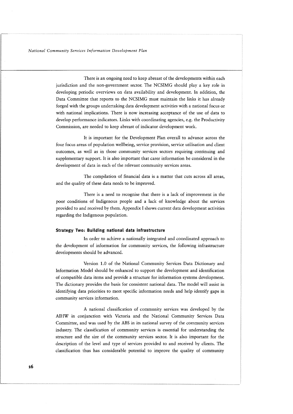There is an ongoing need to keep abreast of the developments within each jurisdiction and the non-government sector. The NCSIMG should play a key role in developing periodic overviews on data availability and development. In addition, the Data Committee that reports to the NCSIMG must maintain the links it has already forged with the groups undertaking data development activities with a national focus or with national implications. There is now increasing acceptance of the use of data to develop performance indicators. Links with coordinating agencies, e.g. the Productivity Commission, are needed to keep abreast of indicator development work.

It is important for the Development Plan overall to advance across the four focus areas of population wellbeing, service provision, service utilisation and client outcomes, as well as in those community services sectors requiring continuing and supplementary support. It is also important that carer information be considered in the development of data in each of the relevant community services areas.

The compilation of financial data is a matter that cuts across all areas, and the quality of these data needs to be improved.

There is a need to recognise that there is a lack of improvement in the poor conditions of Indigenous people and a lack of knowledge about the services provided to and received by them. Appendix I shows current data development activities regarding the Indigenous population.

#### **Strategy Two: Building national data infrastructure**

In order to achieve a nationally integrated and coordinated approach to the development of information for community services, the following infrastructure developments should be advanced.

Version 1.0 of the National Community Services Data Dictionary and Information Model should be enhanced to support the development and identification of compatible data items and provide a structure for information systems development. The dictionary provides the basis for consistent national data. The model will assist in identifying data priorities to meet specific information needs and help identify gaps in community services information.

A national classification of community services was developed by the AIHW in conjunction with Victoria and the National Community Services Data Committee, and was used by the ABS in its national survey of the community services industry. The classification of community services is essential for understanding the structure and the size of the community services sector. It is also important for the description of the level and type of services provided to and received by clients. The classification thus has considerable potential to improve the quality of community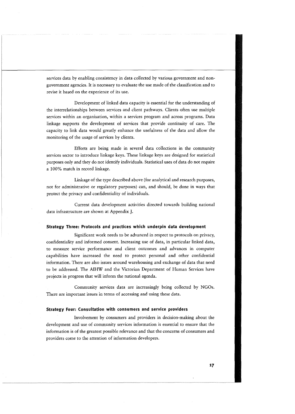services data by enabling consistency in data collected by various government and nongovernment agencies. It is necessary to evaluate the use made of the classification and to revise it based on the experience of its use.

Development of linked data capacity is essential for the understanding of the interrelationships between services and client pathways. Clients often use multiple services within an organisation, within a services program and across programs. Data linkage supports the development of services that provide continuity of care. The capacity to link data would greatly enhance the usefulness of the data and allow the monitoring of the usage of services by clients.

Efforts are being made in several data collections in the community services sector to introduce linkage keys. These linkage keys are designed for statistical purposes only and they do not identify individuals. Statistical uses of data do not require a 100% match in record linkage.

Linkage of the type described above (for analytical and research purposes, not for administrative or regulatory purposes) can, and should, be done in ways that protect the privacy and confidentiality of individuals.

Current data development activities directed towards building national data infrastructure are shown at Appendix J.

#### **Strategy Three: Protocols and practices which underpin data development**

Significant work needs to be advanced in respect to protocols on privacy, confidentiality and informed consent. Increasing use of data, in particular linked data, to measure service performance and client outcomes and advances in computer capabilities have increased the need to protect personal and other confidential information. There are also issues around warehousing and exchange of data that need to be addressed. The AIHW and the Victorian Department of Human Services have projects in progress that will inform the national agenda.

Community services data are increasingly being collected by NGOs. There are important issues in terms of accessing and using these data.

#### **Strategy Four: Consultation with consumers and service providers**

Involvement by consumers and providers in decision-making about the development and use of community services information is essential to ensure that the information is of the greatest possible relevance and that the concerns of consumers and providers come to the attention of information developers.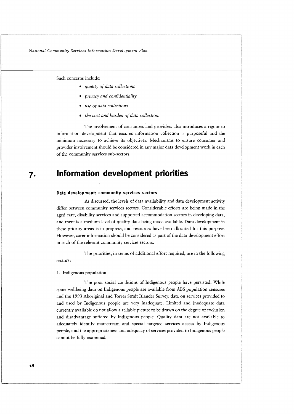Such concerns include:

- quality of data collections
- privacy and confidentiality
- use of data collections
- the cost and burden of data collection.

The involvement of consumers and providers also introduces a rigour to information development that ensures information collection is purposeful and the minimum necessary to achieve its objectives. Mechanisms to ensure consumer and provider involvement should be considered in any major data development work in each of the community services sub-sectors.

## **Information development priorities**

#### **Data development: community services sectors**

As discussed, the levels of data availability and data development activity differ between community services sectors. Considerable efforts are being made in the aged care, disability services and supported accommodation sectors in developing data, and there is a medium level of quality data being made available. Data development in these priority areas is in progress, and resources have been allocated for this purpose. However, carer information should be considered as part of the data development effort in each of the relevant community services sectors.

The priorities, in terms of additional effort required, are in the following sectors:

#### **1.** Indigenous population

The poor social conditions of Indigenous people have persisted. While some wellbeing data on Indigenous people are available from ABS population censuses and the 1993 Aboriginal and Torres Strait Islander Survey, data on services provided to and used by Indigenous people are very inadequate. Limited and inadequate data currently available do not allow a reliable picture to be drawn on the degree of exclusion and disadvantage suffered by Indigenous people. Quality data are not available to adequately identify mainstream and special targeted services access by Indigenous people, and the appropriateness and adequacy of services provided to Indigenous people cannot be fully examined.

 $7.$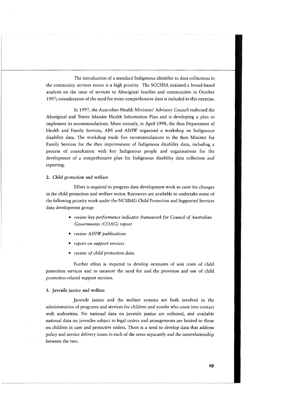The introduction of a standard Indigenous identifier to data collections in the community services sector is a high priority. The SCCSISA initiated a broad-based analysis on the issue of services to Aboriginal families and communities in October 1997; consideration of the need for more comprehensive data is included in this exercise.

In 1997, the Australian Health Ministers' Advisory Council endorsed the Aboriginal and Torres Islander Health Information Plan and is developing a plan to implement its recommendations. More recently, in April 1998, the then Department of Health and Family Services, ABS and AIHW organised a workshop on Indigenous disability data. The workshop made five recommendations to the then Minister for Family Services for the then improvement of Indigenous disability data, including a process of consultation with key Indigenous people and organisations for the development of a comprehensive plan for Indigenous disability data collection and reporting.

*2.* Child protection and welfare

Effort is required to progress data development work to cater for changes in the child protection and welfare sector. Resources are available to undertake some of the following priority work under the NCSIMG Child Protection and Supported Services data development group:

- review key performance indicator framework for Council of Australian Governments (COAG) report
- review AIHW publications
- report on support services
- review of child protection data.

Further effort is required to develop estimates of unit costs of child protection services and to measure the need for and the provision and use of child protection-related support services.

#### **3.** Juvenile justice and welfare

Juvenile justice and the welfare systems are both involved in the administration of programs and services for children and youths who come into contact with authorities. No national data on juvenile justice are collected, and available national data on juveniles subject to legal orders and arrangements are limited to those on children in care and protective orders. There is a need to develop data that address policy and service delivery issues in each of the areas separately and the interrelationship between the two.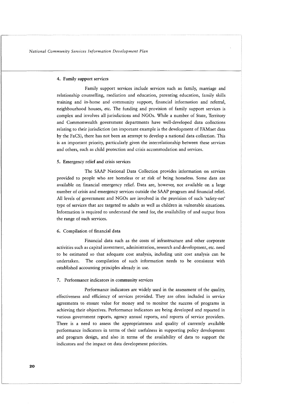#### 4. Family support services

Family support services include services such as family, marriage and relationship counselling, mediation and education, parenting education, family skills training and in-home and community support, financial information and referral, neighbourhood houses, etc. The funding and provision of family support services is complex and involves all jurisdictions and NGOs. While a number of State, Territory and Commonwealth government departments have well-developed data collections relating to their jurisdiction (an important example is the development of FAMnet data by the FaCS), there has not been an attempt to develop a national data collection. This is an important priority, particularly given the interrelationship between these services and others, such as child protection and crisis accommodation and services.

#### **5.** Emergency relief and crisis services

The SAAP National Data Collection provides information on services provided to people who are homeless or at risk of being homeless. Some data are available on financial emergency relief. Data are, however, not available on a large number of crisis and emergency services outside the SAAP program and financial relief. All levels of government and NGOs are involved in the provision of such 'safety-net' type of services that are targeted to adults as well as children in vulnerable situations. Information is required to understand the need for, the availability of and output from the range of such services.

#### *6.* Compilation of financial data

Financial data such as the costs of infrastructure and other corporate activities such as capital investment, administration, research and development, etc. need to be estimated so that adequate cost analysis, including unit cost analysis can be undertaken. The compilation of such information needs to be consistent with established accounting principles already in use.

#### **7.** Performance indicators in community services

Performance indicators are widely used in the assessment of the quality, effectiveness and efficiency of services provided. They are often included in service agreements to ensure value for money and to monitor the success of programs in achieving their objectives. Performance indicators are being developed and reported in various government reports, agency annual reports, and reports of service providers. There is a need to assess the appropriateness and quality of currently available performance indicators in terms of their usefulness in supporting policy development and program design, and also in terms of the availability of data to support the indicators and the impact on data development priorities.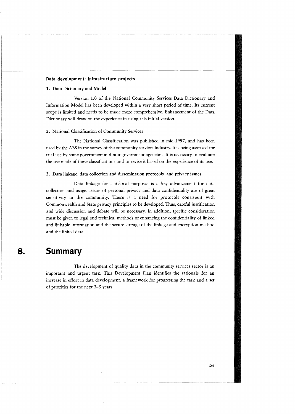#### **Data development: infrastructure projects**

1. Data Dictionary and Model

Version 1.0 of the National Community Services Data Dictionary and Information Model has been developed within a very short period of time. Its current scope is limited and needs to be made more comprehensive. Enhancement of the Data Dictionary will draw on the experience in using this initial version.

#### 2. National Classification of Community Services

The National Classification was published in mid-1997, and has been used by the ABS in the survey of the community services industry. It is being assessed for trial use by some government and non-government agencies. It is necessary to evaluate the use made of these classifications and to revise it based on the experience of its use.

#### **3.** Data linkage, data collection and dissemination protocols and privacy issues

Data linkage for statistical purposes is a key advancement for data collection and usage. Issues of personal privacy and data confidentiality are of great sensitivity in the community. There is a need for protocols consistent with Commonwealth and State privacy principles to be developed. Thus, careful justification and wide discussion and debate will be necessary. In addition, specific consideration must be given to legal and technical methods of enhancing the confidentiality of linked and linkable information and the secure storage of the linkage and encryption method and the linked data.

## **Summary**

8.

The development of quality data in the community services sector is an important and urgent task. This Development Plan identifies the rationale for an increase in effort in data development, a framework for progressing the task and a set of priorities for the next 3-5 years.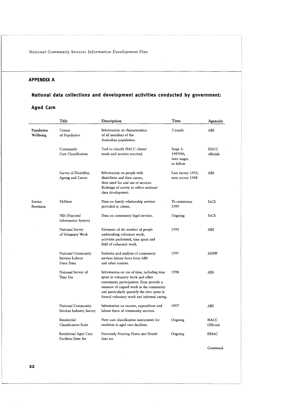#### **APPENDIX A**

## **National data collections and development activities conducted by government:**

#### **Aged Care**

 $\ddot{\phantom{a}}$ 

|                         | Title                                               | Description                                                                                                                                                                                                                                                        | Time                                              | Agencies          |
|-------------------------|-----------------------------------------------------|--------------------------------------------------------------------------------------------------------------------------------------------------------------------------------------------------------------------------------------------------------------------|---------------------------------------------------|-------------------|
| Population<br>Wellbeing | Census<br>of Population                             | Information on characteristics<br>of all members of the<br>Australian population.                                                                                                                                                                                  | $5$ -yearly                                       | ABS               |
|                         | Community<br>Care Classification                    | Tool to classify HACC clients'<br>needs and services received.                                                                                                                                                                                                     | Stage 1:<br>1997/98;<br>later stages<br>to follow | HACC<br>officials |
|                         | Survey of Disability,<br>Ageing and Carers          | Information on people with<br>disabilities and their carers,<br>their need for and use of services.<br>Redesign of survey to reflect national<br>data development.                                                                                                 | Last survey 1993;<br>next survey 1998             | <b>ABS</b>        |
| Service<br>Provision    | FAMnet                                              | Data on family relationship services<br>provided to clients.                                                                                                                                                                                                       | To commence<br>1999                               | FaCS              |
|                         | NIS (National<br>Information System)                | Data on community legal services.                                                                                                                                                                                                                                  | Ongoing                                           | FaCS              |
|                         | National Survey<br>of Voluntary Work                | Estimates of the number of people<br>undertaking voluntary work,<br>activities performed, time spent and<br>field of voluntary work.                                                                                                                               | 1995                                              | ABS               |
|                         | National Community<br>Services Labour<br>Force Data | Statistics and analysis of community<br>services labour force from ABS<br>and other sources.                                                                                                                                                                       | 1997                                              | AIHW              |
|                         | National Survey of<br>Time Use                      | Information on use of time, including time<br>spent in voluntary work and other<br>community participation. Data provide a<br>measure of unpaid work in the community<br>and particularly quantify the time spent in<br>formal voluntary work and informal caring. | 1998                                              | ABS               |
|                         | National Community<br>Services Industry Survey      | Information on income, expenditure and<br>labour force of community services.                                                                                                                                                                                      | 1997                                              | ABS               |
|                         | Residential<br><b>Classification Scale</b>          | New care classification instruments for<br>residents in aged care facilities.                                                                                                                                                                                      | Ongoing                                           | HACC<br>Officials |
|                         | Residential Aged Care<br>Facilities Data Set        | Previously Nursing Home and Hostel<br>data set.                                                                                                                                                                                                                    | Ongoing                                           | <b>DHAC</b>       |

Continued.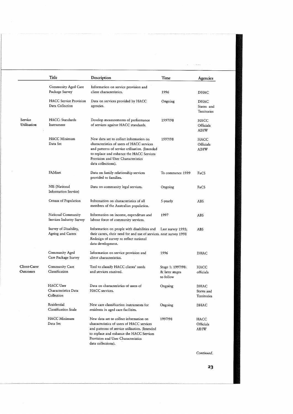|                          | Title                                                  | Description                                                                                                                                                                                                                                   | Time                                             | Agencies                          |
|--------------------------|--------------------------------------------------------|-----------------------------------------------------------------------------------------------------------------------------------------------------------------------------------------------------------------------------------------------|--------------------------------------------------|-----------------------------------|
|                          | Community Aged Care<br>Package Survey                  | Information on service provision and<br>client characteristics.                                                                                                                                                                               | 1996                                             | DHAC                              |
|                          | <b>HACC</b> Service Provision<br>Data Collection       | Data on services provided by HACC<br>agencies.                                                                                                                                                                                                | Ongoing                                          | DHAC<br>States and<br>Territories |
| Service<br>Utilisation   | HACC: Standards<br>Instrument                          | Develop measurements of performance<br>of services against HACC standards.                                                                                                                                                                    | 1997/98                                          | HACC<br>Officials<br>AIHW         |
|                          | <b>HACC</b> Minimum<br>Data Set                        | New data set to collect information on<br>characteristics of users of HACC services<br>and patterns of service utilisation. (Intended<br>to replace and enhance the HACC Services<br>Provision and User Characteristics<br>data collections). | 1997/98                                          | HACC<br>Officials<br>AIHW         |
|                          | FAMnet                                                 | Data on family relationship services<br>provided to families.                                                                                                                                                                                 | To commence 1999                                 | FaCS                              |
|                          | NIS (National<br>Information Service)                  | Data on community legal services.                                                                                                                                                                                                             | Ongoing                                          | FaCS                              |
|                          | Census of Population                                   | Information on characteristics of all<br>members of the Australian population.                                                                                                                                                                | 5-yearly                                         | ABS                               |
|                          | National Community<br>Services Industry Survey         | Information on income, expenditure and<br>labour force of community services.                                                                                                                                                                 | 1997                                             | ABS                               |
|                          | Survey of Disability,<br>Ageing and Carers             | Information on people with disabilities and<br>their carers, their need for and use of services. next survey 1998<br>Redesign of survey to reflect national<br>data development.                                                              | Last survey 1993;                                | ABS                               |
|                          | Community Aged<br>Care Package Survey                  | Information on service provision and<br>client characteristics.                                                                                                                                                                               | 1996                                             | <b>DHAC</b>                       |
| Client-Carer<br>Outcomes | Community Care<br>Classification                       | Tool to classify HACC clients' needs<br>and services received.                                                                                                                                                                                | Stage 1: 1997/98:<br>& later stages<br>to follow | <b>HACC</b><br>officials          |
|                          | <b>HACC</b> User<br>Characteristics Data<br>Collection | Data on characteristics of users of<br>HACC services.                                                                                                                                                                                         | Ongoing                                          | DHAC<br>States and<br>Territories |
|                          | Residential<br>Classification Scale                    | New care classification instruments for<br>residents in aged care facilities.                                                                                                                                                                 | Ongoing                                          | DHAC                              |
|                          | HACC Minimum<br>Data Set                               | New data set to collect information on<br>characteristics of users of HACC services<br>and patterns of service utilisation. (Intended<br>to replace and enhance the HACC Services<br>Provision and User Characteristics<br>data collections). | 1997/98                                          | HACC<br>Officials<br>AIHW         |

Continued.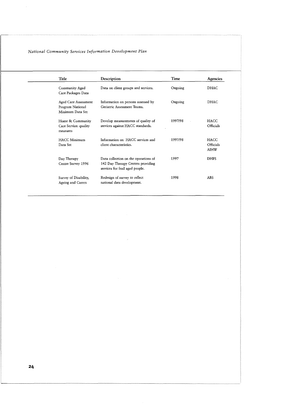| Title                                                        | Description                                                                                                  | Time    | <b>Agencies</b>                         |
|--------------------------------------------------------------|--------------------------------------------------------------------------------------------------------------|---------|-----------------------------------------|
| Community Aged<br>Care Packages Data                         | Data on client groups and services.                                                                          | Ongoing | <b>DHAC</b>                             |
| Aged Care Assessment<br>Program National<br>Minimum Data Set | Information on persons assessed by<br>Geriatric Assessment Teams.                                            | Ongoing | <b>DHAC</b>                             |
| Home & Community<br>Care Service: quality<br>measures        | Develop measurements of quality of<br>services against HACC standards.                                       | 1997/98 | <b>HACC</b><br>Officials                |
| <b>HACC Minimum</b><br>Data Set                              | Information on HACC services and<br>client characteristics.                                                  | 1997/98 | <b>HACC</b><br>Officials<br><b>AIHW</b> |
| Day Therapy<br>Centre Survey 1996                            | Data collection on the operations of<br>142 Day Therapy Centres providing<br>services for frail aged people. | 1997    | <b>DHFS</b>                             |
| Survey of Disability,<br>Ageing and Carers                   | Redesign of survey to reflect<br>national data development.                                                  | 1998    | <b>ABS</b>                              |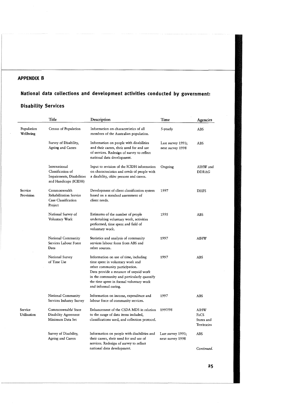#### **APPENDIX B**

## **National data collections and development activities conducted by government: Disability Services**

|                         | Title                                                                                    | Description                                                                                                                                                                                                                                                           | Time                                  | Agencies                                  |
|-------------------------|------------------------------------------------------------------------------------------|-----------------------------------------------------------------------------------------------------------------------------------------------------------------------------------------------------------------------------------------------------------------------|---------------------------------------|-------------------------------------------|
| Population<br>Wellbeing | Census of Population                                                                     | Information on characteristics of all<br>members of the Australian population.                                                                                                                                                                                        | 5-yearly                              | ABS                                       |
|                         | Survey of Disability,<br>Ageing and Carers                                               | Information on people with disabilities<br>and their carers, their need for and use<br>of services. Redesign of survey to reflect<br>national data development.                                                                                                       | Last survey 1993;<br>next survey 1998 | ABS                                       |
|                         | International<br>Classification of<br>Impairments, Disabilities<br>and Handicaps (ICIDH) | Input to revision of the ICIDH information<br>on characteristics and needs of people with<br>a disability, older persons and carers.                                                                                                                                  | Ongoing                               | AIHW and<br><b>DDRAG</b>                  |
| Service<br>Provision    | Commonwealth<br>Rehabilitation Service<br>Case Classification<br>Project                 | Development of client classification system<br>based on a standard assessment of<br>client needs.                                                                                                                                                                     | 1997                                  | <b>DHFS</b>                               |
|                         | National Survey of<br>Voluntary Work                                                     | Estimates of the number of people<br>undertaking voluntary work, activities<br>performed, time spent and field of<br>voluntary work.                                                                                                                                  | 1995                                  | ABS                                       |
|                         | National Community<br>Services Labour Force<br>Data                                      | Statistics and analysis of community<br>services labour force from ABS and<br>other sources.                                                                                                                                                                          | 1997                                  | AIHW                                      |
|                         | National Survey<br>of Time Use                                                           | Information on use of time, including<br>time spent in voluntary work and<br>other community participation.<br>Data provide a measure of unpaid work<br>in the community and particularly quantify<br>the time spent in formal voluntary work<br>and informal caring. | 1997                                  | <b>ABS</b>                                |
|                         | National Community<br>Services Industry Survey                                           | Information on income, expenditure and<br>labour force of community services.                                                                                                                                                                                         | 1997                                  | ABS                                       |
| Service<br>Utilisation  | Commonwealth/State<br>Disability Agreement<br>Minimum Data Set                           | Enhancement of the CSDA MDS in relation<br>to the range of data items included,<br>classifications used, and collection protocol.                                                                                                                                     | 1997/98                               | AIHW<br>FaCS<br>States and<br>Territories |
|                         | Survey of Disability,<br>Ageing and Carers                                               | Information on people with disabilities and<br>their carers, their need for and use of<br>services. Redesign of survey to reflect                                                                                                                                     | Last survey 1993;<br>next survey 1998 | ABS                                       |
|                         |                                                                                          | national data development.                                                                                                                                                                                                                                            |                                       | Continued.                                |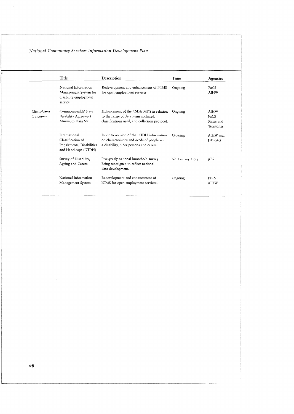|                          | Title                                                                                    | Description                                                                                                                          | Time             | Agencies                                                     |
|--------------------------|------------------------------------------------------------------------------------------|--------------------------------------------------------------------------------------------------------------------------------------|------------------|--------------------------------------------------------------|
|                          | National Information<br>Management System for<br>disability employment<br>service        | Redevelopment and enhancement of NIMS<br>for open employment services.                                                               | Ongoing          | FaCS<br><b>AIHW</b>                                          |
| Client-Carer<br>Outcomes | Commonwealth/State<br>Disability Agreement<br>Minimum Data Set                           | Enhancement of the CSDA MDS in relation<br>to the range of data items included,<br>classifications used, and collection protocol.    | Ongoing          | <b>AIHW</b><br>$F_{2}CS$<br>States and<br><b>Territories</b> |
|                          | International<br>Classification of<br>Impairments, Disabilities<br>and Handicaps (ICIDH) | Input to revision of the ICIDH information<br>on characteristics and needs of people with<br>a disability, older persons and carers. | Ongoing          | AIHW and<br>DDR AG                                           |
|                          | Survey of Disability,<br>Ageing and Carers                                               | Five-yearly national household survey.<br>Being redesigned to reflect national<br>data development.                                  | Next survey 1998 | ABS                                                          |
|                          | National Information<br>Management System                                                | Redevelopment and enhancement of<br>NIMS for open employment services.                                                               | Ongoing          | FaCS<br><b>AIHW</b>                                          |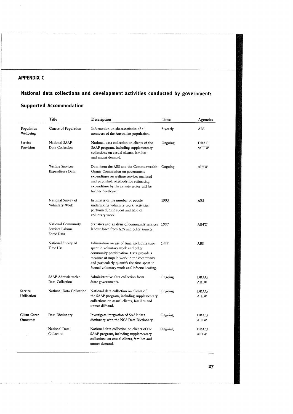#### **APPENDIX C**

#### **National data collections and development activities conducted by government:**

#### **Supported Accommodation**

|                          | Title                                               | Description                                                                                                                                                                                                                                                        | Time        | Agencies             |
|--------------------------|-----------------------------------------------------|--------------------------------------------------------------------------------------------------------------------------------------------------------------------------------------------------------------------------------------------------------------------|-------------|----------------------|
| Population<br>Wellbeing  | Census of Population                                | Information on characteristics of all<br>members of the Australian population.                                                                                                                                                                                     | $5$ -yearly | ABS                  |
| Service<br>Provision     | National SAAP<br>Data Collection                    | National data collection on clients of the<br>SAAP program, including supplementary<br>collections on casual clients, families<br>and unmet demand.                                                                                                                | Ongoing     | <b>DRAC</b><br>/AIHW |
|                          | <b>Welfare Services</b><br>Expenditure Data         | Data from the ABS and the Commonwealth<br>Grants Commission on government<br>expenditure on welfare services analysed<br>and published. Methods for estimating<br>expenditure by the private sector will be<br>further developed.                                  | Ongoing     | AIHW                 |
|                          | National Survey of<br>Voluntary Work                | Estimates of the number of people<br>undertaking voluntary work, activities<br>performed, time spent and field of<br>voluntary work.                                                                                                                               | 1995        | ABS                  |
|                          | National Community<br>Services Labour<br>Force Data | Statistics and analysis of community services 1997<br>labour force from ABS and other sources.                                                                                                                                                                     |             | <b>AIHW</b>          |
|                          | National Survey of<br>Time Use                      | Information on use of time, including time<br>spent in voluntary work and other<br>community participation. Data provide a<br>measure of unpaid work in the community<br>and particularly quantify the time spent in<br>formal voluntary work and informal caring. | 1997        | <b>ABS</b>           |
|                          | <b>SAAP</b> Administrative<br>Data Collection       | Administrative data collection from<br>State governments.                                                                                                                                                                                                          | Ongoing     | DRAC/<br>AIHW        |
| Service<br>Utilisation   | National Data Collection                            | National data collection on clients of<br>the SAAP program, including supplementary<br>collections on casual clients, families and<br>unmet demand.                                                                                                                | Ongoing     | DRAC/<br>AIHW        |
| Client-Carer<br>Outcomes | Data Dictionary                                     | Investigate integration of SAAP data<br>dictionary with the NCS Data Dictionary.                                                                                                                                                                                   | Ongoing     | DRAC/<br>AIHW        |
|                          | National Data<br>Collection                         | National data collection on clients of the<br>SAAP program, including supplementary<br>collections on casual clients, families and<br>unmet demand.                                                                                                                | Ongoing     | DRAC/<br>AIHW        |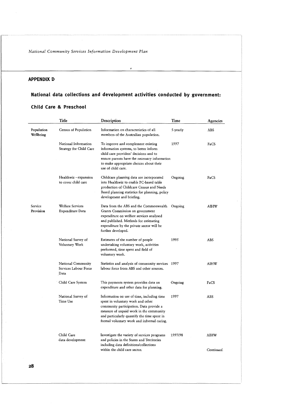#### **APPENDIX D**

## **National data collections and development activities conducted by government: Child Care** & **Preschool**

**J** 

|                         | Title                                               | Description                                                                                                                                                                                                                                                        | Time     | Agencies    |
|-------------------------|-----------------------------------------------------|--------------------------------------------------------------------------------------------------------------------------------------------------------------------------------------------------------------------------------------------------------------------|----------|-------------|
| Population<br>Wellbeing | Census of Population                                | Information on characteristics of all<br>members of the Australian population.                                                                                                                                                                                     | 5-yearly | ABS         |
|                         | National Information<br>Strategy for Child Care     | To improve and complement existing<br>information systems, to better inform<br>child care providers' decisions and to<br>ensure parents have the necessary information<br>to make appropriate choices about their<br>use of child care.                            | 1997     | FaCS        |
|                         | Healthwiz - expansion<br>to cover child care        | Childcare planning data are incorporated<br>into Healthwiz to enable PC-based table<br>production of Childcare Census and Needs<br>Based planning statistics for planning, policy<br>development and briefing.                                                     | Ongoing  | FaCS        |
| Service<br>Provision    | Welfare Services<br>Expenditure Data                | Data from the ABS and the Commonwealth<br>Grants Commission on government<br>expenditure on welfare services analysed<br>and published. Methods for estimating<br>expenditure by the private sector will be<br>further developed.                                  | Ongoing  | <b>AIHW</b> |
|                         | National Survey of<br>Voluntary Work                | Estimates of the number of people<br>undertaking voluntary work, activities<br>performed, time spent and field of<br>voluntary work.                                                                                                                               | 1995     | ABS         |
|                         | National Community<br>Services Labour Force<br>Data | Statistics and analysis of community services 1997<br>labour force from ABS and other sources.                                                                                                                                                                     |          | AIHW        |
|                         | Child Care System                                   | This payments system provides data on<br>expenditure and other data for planning.                                                                                                                                                                                  | Ongoing  | FaCS        |
|                         | National Survey of<br>Time Use                      | Information on use of time, including time<br>spent in voluntary work and other<br>community participation. Data provide a<br>measure of unpaid work in the community<br>and particularly quantify the time spent in<br>formal voluntary work and informal caring. | 1997     | ABS         |
|                         | Child Care<br>data development                      | Investigate the variety of services programs<br>and policies in the States and Territories<br>including data definitions/collections                                                                                                                               | 1997/98  | AIHW        |
|                         |                                                     | within the child care sector.                                                                                                                                                                                                                                      |          | Continued.  |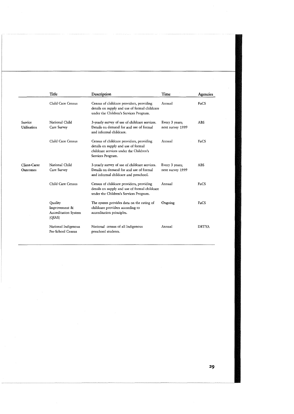|                          | Title                                                             | Description                                                                                                                                     | Time                               | Agencies     |
|--------------------------|-------------------------------------------------------------------|-------------------------------------------------------------------------------------------------------------------------------------------------|------------------------------------|--------------|
|                          | Child Care Census                                                 | Census of childcare providers, providing<br>details on supply and use of formal childcare<br>under the Children's Services Program.             | Annual                             | FaCS         |
| Service<br>Utilisation   | National Child<br>Care Survey                                     | 3-yearly survey of use of childcare services.<br>Details on demand for and use of formal<br>and informal childcare.                             | Every 3 years;<br>next survey 1999 | <b>ABS</b>   |
|                          | Child Care Census                                                 | Census of childcare providers, providing<br>details on supply and use of formal<br>childcare services under the Children's<br>Services Program. | Annual                             | FaCS         |
| Client-Carer<br>Outcomes | National Child<br>Care Survey                                     | 3-yearly survey of use of childcare services.<br>Details on demand for and use of formal<br>and informal childcare and preschool.               | Every 3 years;<br>next survey 1999 | <b>ABS</b>   |
|                          | Child Care Census                                                 | Census of childcare providers, providing<br>details on supply and use of formal childcare<br>under the Children's Services Program.             | Annual                             | FaCS         |
|                          | Quality<br>Improvement &<br><b>Accreditation System</b><br>(QIAS) | The system provides data on the rating of<br>childcare providers according to<br>accreditation principles.                                      | Ongoing                            | FaCS         |
|                          | National Indigenous<br>Pre-School Census                          | National census of all Indigenous<br>preschool students.                                                                                        | Annual                             | <b>DETYA</b> |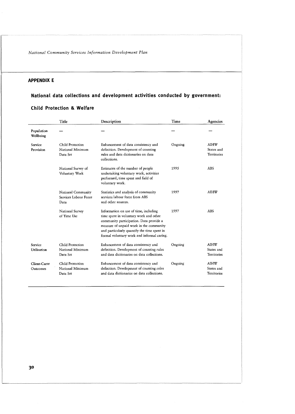#### **APPENDIX E**

#### **National data collections and development activities conducted by government:**

#### **Title Description Time Agencies**  Population<br>Wellbeing Service Child Protection Enhancement of data consistency and Ongoing AIHW Provision National Minimum definition. Development of counting States and rules and data dictionaries on data Territories Data Set collections. 1995 ABS National Survey of Estimates of the number of people Voluntary Work undertaking voluntary work, activities performed, time spent and field of voluntary work. Statistics and analysis of community 1997 AIHW National Community services labour force from ABS Services Labour Force and other sources. Data National Survey Information on use of time, including 1997 ABS of Time Use time spent in voluntary work and other community participation. Data provide a measure of unpaid work in the community and particularly quantify the time spent in formal voluntary work and informal caring. Service Child Protection Enhancement of data consistency and Ongoing AIHW Utilisation National Minimum definition. Development of counting rules States and Data Set and data dictionaries on data collections. Territories Enhancement of data consistency and Ongoing AIHW Client-Carer Child Protection Outcomes National Minimum definition. Development of counting rules States and Data Set and data dictionaries on data collections. Territories

#### **Child Protection** & **Welfare**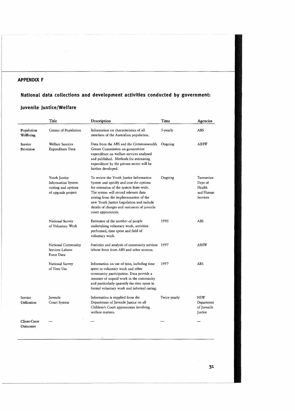#### **APPENDIX F**

## **National data collections and development activities conducted by government: Juvenile Justice/Welfare**

|                          | Title                                                                            | Description                                                                                                                                                                                                                                                                                                                       | Time         | Agencies                                                |
|--------------------------|----------------------------------------------------------------------------------|-----------------------------------------------------------------------------------------------------------------------------------------------------------------------------------------------------------------------------------------------------------------------------------------------------------------------------------|--------------|---------------------------------------------------------|
| Population<br>Wellbeing  | Census of Population                                                             | Information on characteristics of all<br>members of the Australian population.                                                                                                                                                                                                                                                    | 5-yearly     | <b>ABS</b>                                              |
| Service<br>Provision     | Welfare Services<br>Expenditure Data                                             | Data from the ABS and the Commonwealth<br>Grants Commission on government<br>expenditure on welfare services analysed<br>and published. Methods for estimating<br>expenditure by the private sector will be<br>further developed.                                                                                                 | Ongoing      | AIHW                                                    |
|                          | Youth Justice<br>Information System<br>costing and options<br>of upgrade project | To review the Youth Justice Information<br>System and specify and cost the options<br>for extension of the system State-wide.<br>The system will record relevant data<br>arising from the implementation of the<br>new Youth Justice Legislation and include<br>details of charges and outcomes of juvenile<br>court appearances. | Ongoing      | Tasmanian<br>Dept of<br>Health<br>and Human<br>Services |
|                          | National Survey<br>of Voluntary Work                                             | Estimates of the number of people<br>undertaking voluntary work, activities<br>performed, time spent and field of<br>voluntary work.                                                                                                                                                                                              | 1995         | <b>ABS</b>                                              |
|                          | National Community<br>Services Labour<br>Force Data                              | Statistics and analysis of community services 1997<br>labour force from ABS and other sources.                                                                                                                                                                                                                                    |              | AIHW                                                    |
|                          | National Survey<br>of Time Use                                                   | Information on use of time, including time<br>spent in voluntary work and other<br>community participation. Data provide a<br>measure of unpaid work in the community<br>and particularly quantify the time spent in<br>formal voluntary work and informal caring.                                                                | 1997         | <b>ABS</b>                                              |
| Service<br>Utilisation   | Juvenile<br>Court System                                                         | Information is supplied from the<br>Department of Juvenile Justice on all<br>Children's Court appearances involving<br>welfare matters.                                                                                                                                                                                           | Twice-yearly | <b>NSW</b><br>Department<br>of Juvenile<br>Justice      |
| Client-Carer<br>Outcomes |                                                                                  |                                                                                                                                                                                                                                                                                                                                   |              |                                                         |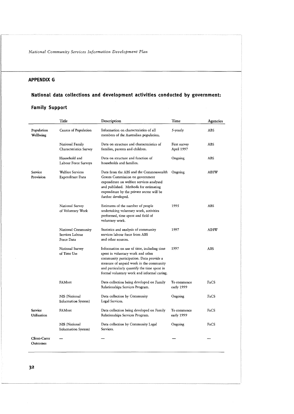#### **APPENDIX G**

# **National data collections and development activities conducted by government:**

#### **Family Support**

|                          | Title                                               | Description                                                                                                                                                                                                                                                        | Time                       | Agencies             |
|--------------------------|-----------------------------------------------------|--------------------------------------------------------------------------------------------------------------------------------------------------------------------------------------------------------------------------------------------------------------------|----------------------------|----------------------|
| Population<br>Wellbeing  | Census of Population                                | Information on characteristics of all<br>members of the Australian population.                                                                                                                                                                                     | 5-yearly                   | ABS                  |
|                          | National Family<br>Characteristics Survey           | Data on structure and characteristics of<br>families, parents and children.                                                                                                                                                                                        | First survey<br>April 1997 | <b>ABS</b><br>$\sim$ |
|                          | Household and<br>Labour Force Surveys               | Data on structure and function of<br>households and families.                                                                                                                                                                                                      | Ongoing                    | ABS                  |
| Service<br>Provision     | Welfare Services<br>Expenditure Data                | Data from the ABS and the Commonwealth<br>Grants Commission on government<br>expenditure on welfare services analysed<br>and published. Methods for estimating<br>expenditure by the private sector will be<br>further developed.                                  | Ongoing                    | <b>AIHW</b>          |
|                          | National Survey<br>of Voluntary Work                | Estimates of the number of people<br>undertaking voluntary work, activities<br>performed, time spent and field of<br>voluntary work.                                                                                                                               | 1995                       | <b>ABS</b>           |
|                          | National Community<br>Services Labour<br>Force Data | Statistics and analysis of community<br>services labour force from ABS<br>and other sources.                                                                                                                                                                       | 1997                       | <b>AIHW</b>          |
|                          | National Survey<br>of Time Use                      | Information on use of time, including time<br>spent in voluntary work and other<br>community participation. Data provide a<br>measure of unpaid work in the community<br>and particularly quantify the time spent in<br>formal voluntary work and informal caring. | 1997                       | ABS                  |
|                          | FAMnet                                              | Data collection being developed on Family<br>Relationships Services Program.                                                                                                                                                                                       | To commence<br>early 1999  | FaCS                 |
|                          | NIS (National<br>Information System)                | Data collection by Community<br>Legal Services.                                                                                                                                                                                                                    | Ongoing                    | FaCS                 |
| Service<br>Utilisation   | FAMnet                                              | Data collection being developed on Family<br>Relationships Services Program.                                                                                                                                                                                       | To commence<br>early 1999  | FaCS                 |
|                          | NIS (National<br>Information System)                | Data collection by Community Legal<br>Services.                                                                                                                                                                                                                    | Ongoing                    | FaCS                 |
| Client-Carer<br>Outcomes |                                                     |                                                                                                                                                                                                                                                                    |                            |                      |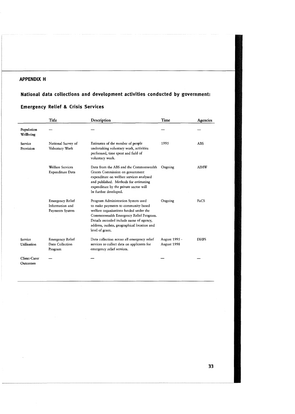#### **APPENDIX H**

#### **National data collections and development activities conducted by government:**

#### **Emergency Relief** & **Crisis Services**

|                          | Title                                                         | Description                                                                                                                                                                                                                                                                 | Time                         | Agencies    |
|--------------------------|---------------------------------------------------------------|-----------------------------------------------------------------------------------------------------------------------------------------------------------------------------------------------------------------------------------------------------------------------------|------------------------------|-------------|
| Population<br>Wellbeing  |                                                               |                                                                                                                                                                                                                                                                             |                              |             |
| Service<br>Provision     | National Survey of<br>Voluntary Work                          | Estimates of the number of people<br>undertaking voluntary work, activities<br>performed, time spent and field of<br>voluntary work.                                                                                                                                        | 1995                         | <b>ABS</b>  |
|                          | <b>Welfare Services</b><br>Expenditure Data                   | Data from the ABS and the Commonwealth<br>Grants Commission on government<br>expenditure on welfare services analysed<br>and published. Methods for estimating<br>expenditure by the private sector will<br>be further developed.                                           | Ongoing                      | <b>AIHW</b> |
|                          | <b>Emergency Relief</b><br>Information and<br>Payments System | Program Administration System used<br>to make payments to community-based<br>welfare organisations funded under the<br>Commonwealth Emergency Relief Program.<br>Details recorded include name of agency,<br>address, outlets, geographical location and<br>level of grant. | Ongoing                      | FaCS        |
| Service<br>Utilisation   | <b>Emergency Relief</b><br>Data Collection<br>Program         | Data collection across all emergency relief<br>services to collect data on applicants for<br>emergency relief services.                                                                                                                                                     | August 1995 -<br>August 1998 | <b>DHFS</b> |
| Client-Carer<br>Outcomes |                                                               |                                                                                                                                                                                                                                                                             |                              |             |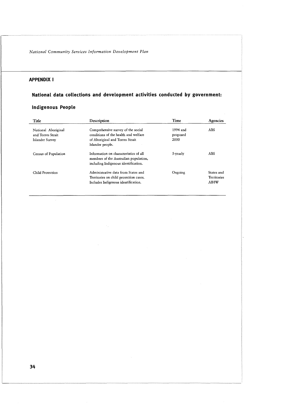#### **APPENDIX I**

# **National data collections and development activities conducted by government:**

#### **Indigenous People**

| Title                                                       | Description                                                                                                                       | Time                         | Agencies                                 |
|-------------------------------------------------------------|-----------------------------------------------------------------------------------------------------------------------------------|------------------------------|------------------------------------------|
| National Aboriginal<br>and Torres Strait<br>Islander Survey | Comprehensive survey of the social<br>conditions of the health and welfare<br>of Aboriginal and Torres Strait<br>Islander people. | 1994 and<br>proposed<br>2000 | ABS                                      |
| Census of Population                                        | Information on characteristics of all<br>members of the Australian population,<br>including Indigenous identification.            | 5-yearly                     | ABS                                      |
| Child Protection                                            | Administrative data from States and<br>Territories on child protection cases.<br>Includes Indigenous identification.              | Ongoing                      | States and<br>Territories<br><b>AIHW</b> |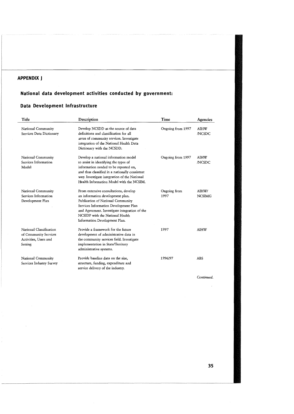#### **APPENDIX J**

#### **National data development activities conducted by government:**

#### **Data Development Infrastructure**

| Title                                                                                | Description                                                                                                                                                                                                                                                                  | Time                 | Agencies               |
|--------------------------------------------------------------------------------------|------------------------------------------------------------------------------------------------------------------------------------------------------------------------------------------------------------------------------------------------------------------------------|----------------------|------------------------|
| National Community<br>Services Data Dictionary                                       | Develop NCSDD as the source of data<br>definitions and classification for all<br>areas of community services. Investigate<br>integration of the National Health Data<br>Dictionary with the NCSDD.                                                                           | Ongoing from 1997    | AIHW<br><b>NCSDC</b>   |
| National Community<br>Services Information<br>Model                                  | Develop a national information model<br>to assist in identifying the types of<br>information needed to be reported on,<br>and thus classified in a nationally consistent<br>way. Investigate integration of the National<br>Health Information Model with the NCSIM.         | Ongoing from 1997    | AIHW<br><b>NCSDC</b>   |
| National Community<br>Services Information<br>Development Plan                       | From extensive consultations, develop<br>an information development plan.<br>Publication of National Community<br>Services Information Development Plan<br>and Agreement. Investigate integration of the<br>NCSIDP with the National Health<br>Information Development Plan. | Ongoing from<br>1997 | AIHW/<br><b>NCSIMG</b> |
| National Classification<br>of Community Services<br>Activities, Users and<br>Setting | Provide a framework for the future<br>development of administrative data in<br>the community services field. Investigate<br>implementation in State/Territory<br>administrative systems.                                                                                     | 1997                 | <b>AIHW</b>            |
| National Community<br>Services Industry Survey                                       | Provide baseline data on the size,<br>structure, funding, expenditure and<br>service delivery of the industry.                                                                                                                                                               | 1996/97              | <b>ABS</b>             |

Continued.